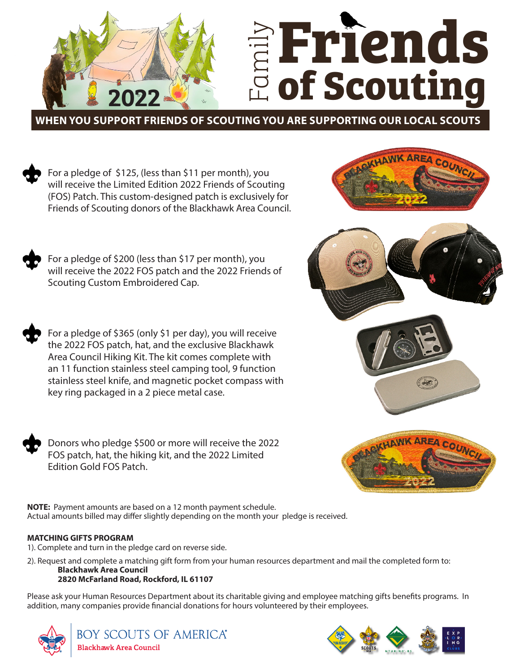

**WHEN YOU SUPPORT FRIENDS OF SCOUTING YOU ARE SUPPORTING OUR LOCAL SCOUTS**

For a pledge of \$125, (less than \$11 per month), you will receive the Limited Edition 2022 Friends of Scouting (FOS) Patch. This custom-designed patch is exclusively for Friends of Scouting donors of the Blackhawk Area Council.

For a pledge of \$200 (less than \$17 per month), you will receive the 2022 FOS patch and the 2022 Friends of Scouting Custom Embroidered Cap.

For a pledge of \$365 (only \$1 per day), you will receive the 2022 FOS patch, hat, and the exclusive Blackhawk Area Council Hiking Kit. The kit comes complete with an 11 function stainless steel camping tool, 9 function stainless steel knife, and magnetic pocket compass with key ring packaged in a 2 piece metal case.

Donors who pledge \$500 or more will receive the 2022 FOS patch, hat, the hiking kit, and the 2022 Limited Edition Gold FOS Patch.







**NOTE:** Payment amounts are based on a 12 month payment schedule. Actual amounts billed may differ slightly depending on the month your pledge is received.

## **MATCHING GIFTS PROGRAM**

1). Complete and turn in the pledge card on reverse side.

2). Request and complete a matching gift form from your human resources department and mail the completed form to:

## **Blackhawk Area Council 2820 McFarland Road, Rockford, IL 61107**

Please ask your Human Resources Department about its charitable giving and employee matching gifts benefits programs. In addition, many companies provide financial donations for hours volunteered by their employees.